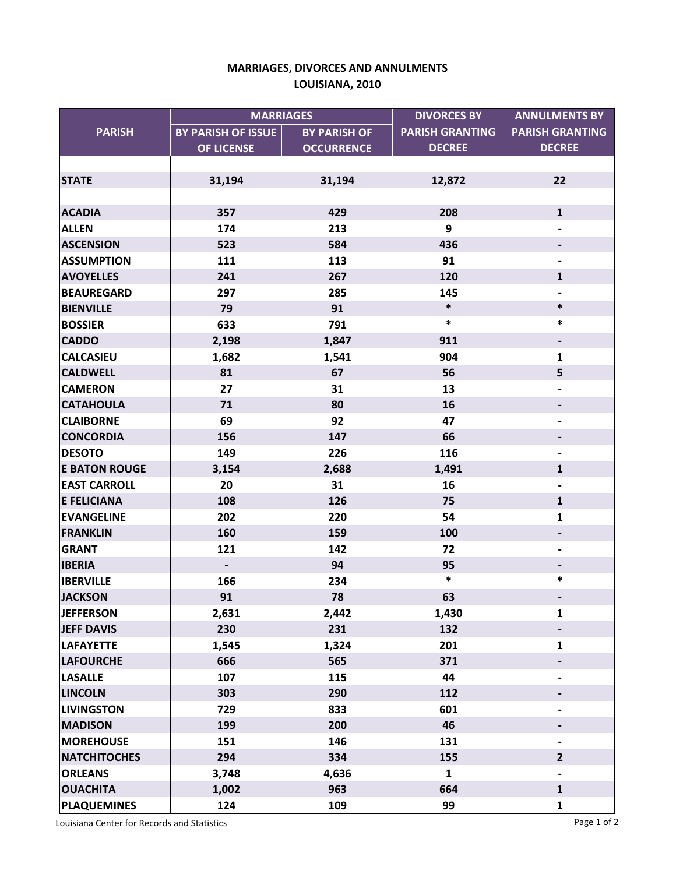## **MARRIAGES, DIVORCES AND ANNULMENTS LOUISIANA, 2010**

|                      | <b>MARRIAGES</b>          |                     | <b>DIVORCES BY</b>     | <b>ANNULMENTS BY</b>     |
|----------------------|---------------------------|---------------------|------------------------|--------------------------|
| <b>PARISH</b>        | <b>BY PARISH OF ISSUE</b> | <b>BY PARISH OF</b> | <b>PARISH GRANTING</b> | <b>PARISH GRANTING</b>   |
|                      | OF LICENSE                | <b>OCCURRENCE</b>   | <b>DECREE</b>          | <b>DECREE</b>            |
|                      |                           |                     |                        |                          |
| <b>STATE</b>         | 31,194                    | 31,194              | 12,872                 | 22                       |
|                      |                           |                     |                        |                          |
| <b>ACADIA</b>        | 357                       | 429                 | 208                    | $\mathbf{1}$             |
| <b>ALLEN</b>         | 174                       | 213                 | 9                      |                          |
| <b>ASCENSION</b>     | 523                       | 584                 | 436                    |                          |
| <b>ASSUMPTION</b>    | 111                       | 113                 | 91                     | $\overline{\phantom{a}}$ |
| <b>AVOYELLES</b>     | 241                       | 267                 | 120                    | $\mathbf{1}$             |
| <b>BEAUREGARD</b>    | 297                       | 285                 | 145                    |                          |
| <b>BIENVILLE</b>     | 79                        | 91                  | $\ast$                 | $\ast$                   |
| <b>BOSSIER</b>       | 633                       | 791                 | $\ast$                 | $\ast$                   |
| <b>CADDO</b>         | 2,198                     | 1,847               | 911                    | $\overline{\phantom{a}}$ |
| <b>CALCASIEU</b>     | 1,682                     | 1,541               | 904                    | $\mathbf{1}$             |
| <b>CALDWELL</b>      | 81                        | 67                  | 56                     | 5                        |
| <b>CAMERON</b>       | 27                        | 31                  | 13                     |                          |
| <b>CATAHOULA</b>     | 71                        | 80                  | 16                     |                          |
| <b>CLAIBORNE</b>     | 69                        | 92                  | 47                     |                          |
| <b>CONCORDIA</b>     | 156                       | 147                 | 66                     | $\overline{\phantom{a}}$ |
| <b>DESOTO</b>        | 149                       | 226                 | 116                    | $\blacksquare$           |
| <b>E BATON ROUGE</b> | 3,154                     | 2,688               | 1,491                  | $\mathbf{1}$             |
| <b>EAST CARROLL</b>  | 20                        | 31                  | 16                     |                          |
| <b>E FELICIANA</b>   | 108                       | 126                 | 75                     | $\mathbf{1}$             |
| <b>EVANGELINE</b>    | 202                       | 220                 | 54                     | 1                        |
| <b>FRANKLIN</b>      | 160                       | 159                 | 100                    |                          |
| <b>GRANT</b>         | 121                       | 142                 | 72                     | $\blacksquare$           |
| <b>IBERIA</b>        | $\overline{\phantom{a}}$  | 94                  | 95                     | $\overline{\phantom{a}}$ |
| <b>IBERVILLE</b>     | 166                       | 234                 | $\ast$                 | $\ast$                   |
| <b>JACKSON</b>       | 91                        | 78                  | 63                     |                          |
| <b>JEFFERSON</b>     | 2,631                     | 2,442               | 1,430                  | $\mathbf{1}$             |
| <b>JEFF DAVIS</b>    | 230                       | 231                 | 132                    |                          |
| <b>LAFAYETTE</b>     | 1,545                     | 1,324               | 201                    | $\mathbf{1}$             |
| <b>LAFOURCHE</b>     | 666                       | 565                 | 371                    |                          |
| <b>LASALLE</b>       | 107                       | 115                 | 44                     | $\blacksquare$           |
| <b>LINCOLN</b>       | 303                       | 290                 | 112                    |                          |
| <b>LIVINGSTON</b>    | 729                       | 833                 | 601                    | $\overline{\phantom{a}}$ |
| <b>MADISON</b>       | 199                       | 200                 | 46                     |                          |
| <b>MOREHOUSE</b>     | 151                       | 146                 | 131                    | $\overline{\phantom{a}}$ |
| <b>NATCHITOCHES</b>  | 294                       | 334                 | 155                    | $\overline{2}$           |
| <b>ORLEANS</b>       | 3,748                     | 4,636               | $\mathbf{1}$           |                          |
| <b>OUACHITA</b>      | 1,002                     | 963                 | 664                    | $\mathbf{1}$             |
| <b>PLAQUEMINES</b>   | 124                       | 109                 | 99                     | $\mathbf{1}$             |

Louisiana Center for Records and Statistics **Page 1 of 2** and 2001 and 2008 and 2008 and 2008 and 2008 and 2008 and 2008 and 2008 and 2008 and 2008 and 2008 and 2008 and 2008 and 2008 and 2008 and 2008 and 2008 and 2008 an